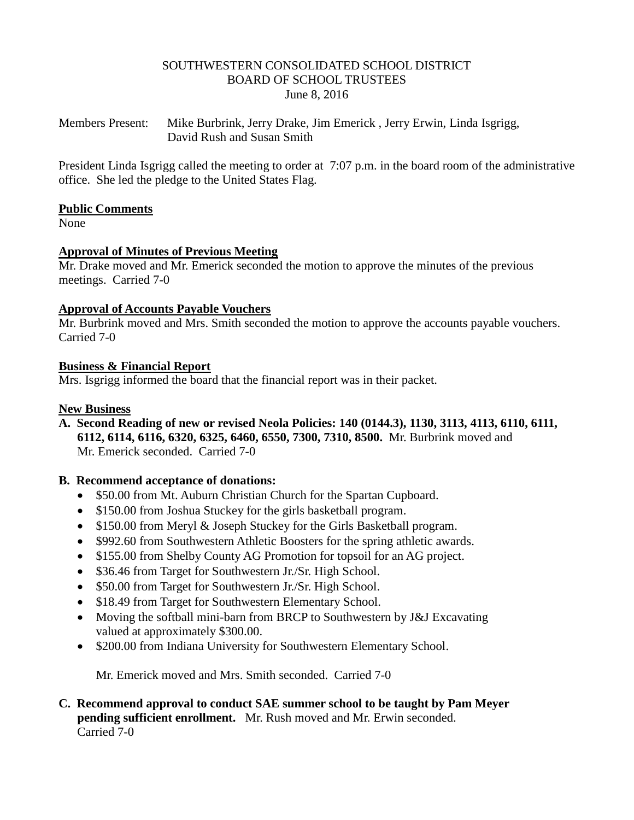#### SOUTHWESTERN CONSOLIDATED SCHOOL DISTRICT BOARD OF SCHOOL TRUSTEES June 8, 2016

Members Present: Mike Burbrink, Jerry Drake, Jim Emerick , Jerry Erwin, Linda Isgrigg, David Rush and Susan Smith

President Linda Isgrigg called the meeting to order at 7:07 p.m. in the board room of the administrative office. She led the pledge to the United States Flag.

#### **Public Comments**

None

### **Approval of Minutes of Previous Meeting**

Mr. Drake moved and Mr. Emerick seconded the motion to approve the minutes of the previous meetings. Carried 7-0

#### **Approval of Accounts Payable Vouchers**

Mr. Burbrink moved and Mrs. Smith seconded the motion to approve the accounts payable vouchers. Carried 7-0

### **Business & Financial Report**

Mrs. Isgrigg informed the board that the financial report was in their packet.

#### **New Business**

**A. Second Reading of new or revised Neola Policies: 140 (0144.3), 1130, 3113, 4113, 6110, 6111, 6112, 6114, 6116, 6320, 6325, 6460, 6550, 7300, 7310, 8500.** Mr. Burbrink moved and Mr. Emerick seconded. Carried 7-0

# **B. Recommend acceptance of donations:**

- \$50.00 from Mt. Auburn Christian Church for the Spartan Cupboard.
- \$150.00 from Joshua Stuckey for the girls basketball program.
- \$150.00 from Meryl & Joseph Stuckey for the Girls Basketball program.
- \$992.60 from Southwestern Athletic Boosters for the spring athletic awards.
- \$155.00 from Shelby County AG Promotion for topsoil for an AG project.
- \$36.46 from Target for Southwestern Jr./Sr. High School.
- \$50.00 from Target for Southwestern Jr./Sr. High School.
- \$18.49 from Target for Southwestern Elementary School.
- Moving the softball mini-barn from BRCP to Southwestern by J&J Excavating valued at approximately \$300.00.
- \$200.00 from Indiana University for Southwestern Elementary School.

Mr. Emerick moved and Mrs. Smith seconded. Carried 7-0

# **C. Recommend approval to conduct SAE summer school to be taught by Pam Meyer pending sufficient enrollment.** Mr. Rush moved and Mr. Erwin seconded. Carried 7-0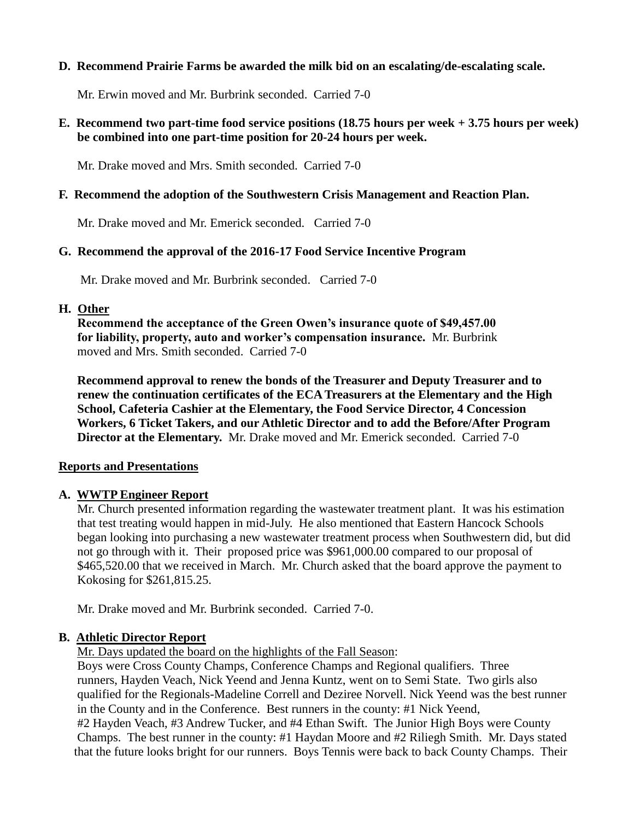#### **D. Recommend Prairie Farms be awarded the milk bid on an escalating/de-escalating scale.**

Mr. Erwin moved and Mr. Burbrink seconded. Carried 7-0

### **E. Recommend two part-time food service positions (18.75 hours per week + 3.75 hours per week) be combined into one part-time position for 20-24 hours per week.**

Mr. Drake moved and Mrs. Smith seconded. Carried 7-0

#### **F. Recommend the adoption of the Southwestern Crisis Management and Reaction Plan.**

Mr. Drake moved and Mr. Emerick seconded. Carried 7-0

### **G. Recommend the approval of the 2016-17 Food Service Incentive Program**

Mr. Drake moved and Mr. Burbrink seconded. Carried 7-0

#### **H. Other**

 **Recommend the acceptance of the Green Owen's insurance quote of \$49,457.00 for liability, property, auto and worker's compensation insurance.** Mr. Burbrink moved and Mrs. Smith seconded. Carried 7-0

 **Recommend approval to renew the bonds of the Treasurer and Deputy Treasurer and to renew the continuation certificates of the ECA Treasurers at the Elementary and the High School, Cafeteria Cashier at the Elementary, the Food Service Director, 4 Concession Workers, 6 Ticket Takers, and our Athletic Director and to add the Before/After Program Director at the Elementary.** Mr. Drake moved and Mr. Emerick seconded. Carried 7-0

#### **Reports and Presentations**

#### **A. WWTP Engineer Report**

 Mr. Church presented information regarding the wastewater treatment plant. It was his estimation that test treating would happen in mid-July. He also mentioned that Eastern Hancock Schools began looking into purchasing a new wastewater treatment process when Southwestern did, but did not go through with it. Their proposed price was \$961,000.00 compared to our proposal of \$465,520.00 that we received in March. Mr. Church asked that the board approve the payment to Kokosing for \$261,815.25.

Mr. Drake moved and Mr. Burbrink seconded. Carried 7-0.

#### **B. Athletic Director Report**

Mr. Days updated the board on the highlights of the Fall Season:

 Boys were Cross County Champs, Conference Champs and Regional qualifiers. Three runners, Hayden Veach, Nick Yeend and Jenna Kuntz, went on to Semi State. Two girls also qualified for the Regionals-Madeline Correll and Deziree Norvell. Nick Yeend was the best runner in the County and in the Conference. Best runners in the county: #1 Nick Yeend, #2 Hayden Veach, #3 Andrew Tucker, and #4 Ethan Swift. The Junior High Boys were County Champs. The best runner in the county: #1 Haydan Moore and #2 Riliegh Smith. Mr. Days stated that the future looks bright for our runners. Boys Tennis were back to back County Champs. Their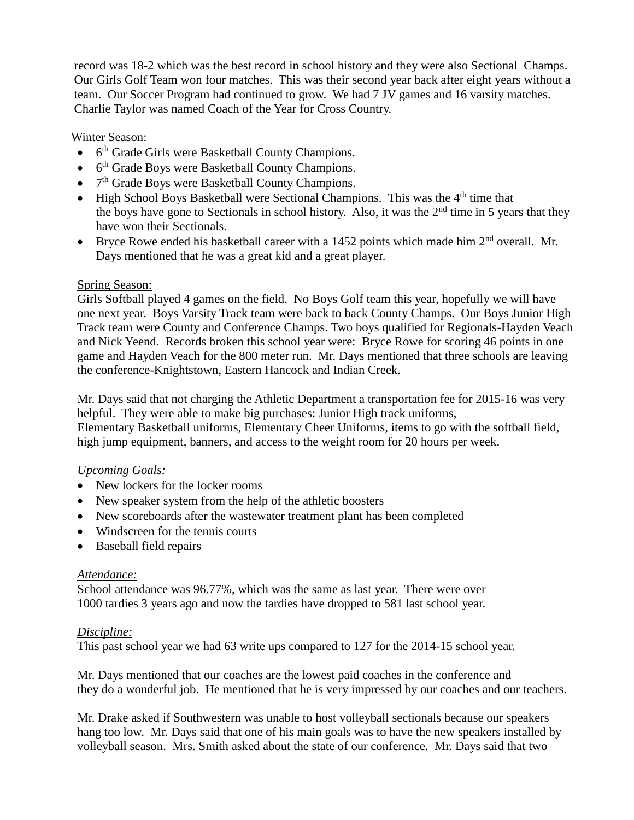record was 18-2 which was the best record in school history and they were also Sectional Champs. Our Girls Golf Team won four matches. This was their second year back after eight years without a team. Our Soccer Program had continued to grow. We had 7 JV games and 16 varsity matches. Charlie Taylor was named Coach of the Year for Cross Country.

### Winter Season:

- 6<sup>th</sup> Grade Girls were Basketball County Champions.
- $\bullet$  6<sup>th</sup> Grade Boys were Basketball County Champions.
- $\bullet$  7<sup>th</sup> Grade Boys were Basketball County Champions.
- $\bullet$  High School Boys Basketball were Sectional Champions. This was the  $4<sup>th</sup>$  time that the boys have gone to Sectionals in school history. Also, it was the  $2<sup>nd</sup>$  time in 5 years that they have won their Sectionals.
- $\bullet$  Bryce Rowe ended his basketball career with a 1452 points which made him  $2<sup>nd</sup>$  overall. Mr. Days mentioned that he was a great kid and a great player.

### Spring Season:

 Girls Softball played 4 games on the field. No Boys Golf team this year, hopefully we will have one next year. Boys Varsity Track team were back to back County Champs. Our Boys Junior High Track team were County and Conference Champs. Two boys qualified for Regionals-Hayden Veach and Nick Yeend. Records broken this school year were: Bryce Rowe for scoring 46 points in one game and Hayden Veach for the 800 meter run. Mr. Days mentioned that three schools are leaving the conference-Knightstown, Eastern Hancock and Indian Creek.

 Mr. Days said that not charging the Athletic Department a transportation fee for 2015-16 was very helpful. They were able to make big purchases: Junior High track uniforms,

 Elementary Basketball uniforms, Elementary Cheer Uniforms, items to go with the softball field, high jump equipment, banners, and access to the weight room for 20 hours per week.

# *Upcoming Goals:*

- New lockers for the locker rooms
- New speaker system from the help of the athletic boosters
- New scoreboards after the wastewater treatment plant has been completed
- Windscreen for the tennis courts
- Baseball field repairs

#### *Attendance:*

School attendance was 96.77%, which was the same as last year. There were over 1000 tardies 3 years ago and now the tardies have dropped to 581 last school year.

#### *Discipline:*

This past school year we had 63 write ups compared to 127 for the 2014-15 school year.

Mr. Days mentioned that our coaches are the lowest paid coaches in the conference and they do a wonderful job. He mentioned that he is very impressed by our coaches and our teachers.

Mr. Drake asked if Southwestern was unable to host volleyball sectionals because our speakers hang too low. Mr. Days said that one of his main goals was to have the new speakers installed by volleyball season. Mrs. Smith asked about the state of our conference. Mr. Days said that two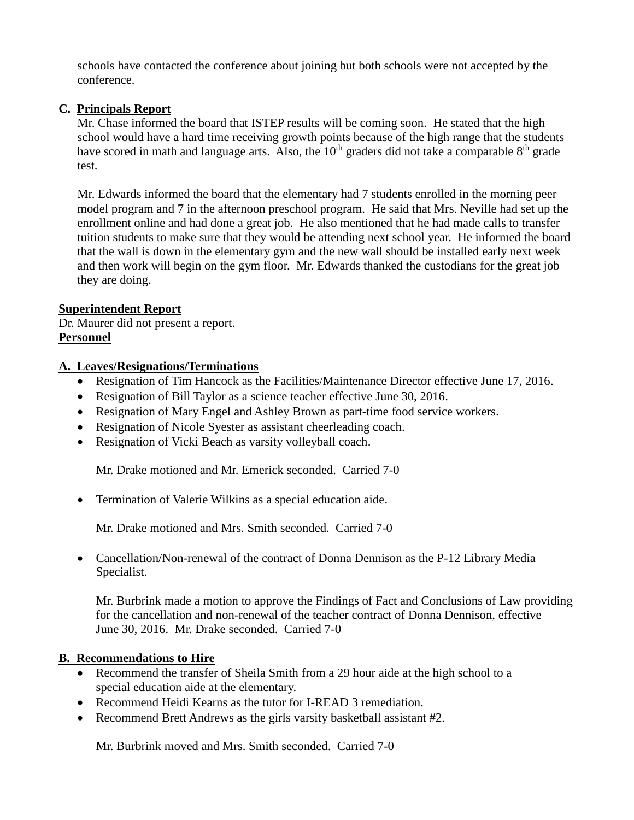schools have contacted the conference about joining but both schools were not accepted by the conference.

# **C. Principals Report**

Mr. Chase informed the board that ISTEP results will be coming soon. He stated that the high school would have a hard time receiving growth points because of the high range that the students have scored in math and language arts. Also, the  $10<sup>th</sup>$  graders did not take a comparable  $8<sup>th</sup>$  grade test.

 Mr. Edwards informed the board that the elementary had 7 students enrolled in the morning peer model program and 7 in the afternoon preschool program. He said that Mrs. Neville had set up the enrollment online and had done a great job. He also mentioned that he had made calls to transfer tuition students to make sure that they would be attending next school year. He informed the board that the wall is down in the elementary gym and the new wall should be installed early next week and then work will begin on the gym floor. Mr. Edwards thanked the custodians for the great job they are doing.

# **Superintendent Report**

Dr. Maurer did not present a report. **Personnel**

# **A. Leaves/Resignations/Terminations**

- Resignation of Tim Hancock as the Facilities/Maintenance Director effective June 17, 2016.
- Resignation of Bill Taylor as a science teacher effective June 30, 2016.
- Resignation of Mary Engel and Ashley Brown as part-time food service workers.
- Resignation of Nicole Syester as assistant cheerleading coach.
- Resignation of Vicki Beach as varsity volleyball coach.

Mr. Drake motioned and Mr. Emerick seconded. Carried 7-0

Termination of Valerie Wilkins as a special education aide.

Mr. Drake motioned and Mrs. Smith seconded. Carried 7-0

 Cancellation/Non-renewal of the contract of Donna Dennison as the P-12 Library Media Specialist.

Mr. Burbrink made a motion to approve the Findings of Fact and Conclusions of Law providing for the cancellation and non-renewal of the teacher contract of Donna Dennison, effective June 30, 2016. Mr. Drake seconded. Carried 7-0

# **B. Recommendations to Hire**

- Recommend the transfer of Sheila Smith from a 29 hour aide at the high school to a special education aide at the elementary.
- Recommend Heidi Kearns as the tutor for I-READ 3 remediation.
- Recommend Brett Andrews as the girls varsity basketball assistant #2.

Mr. Burbrink moved and Mrs. Smith seconded. Carried 7-0